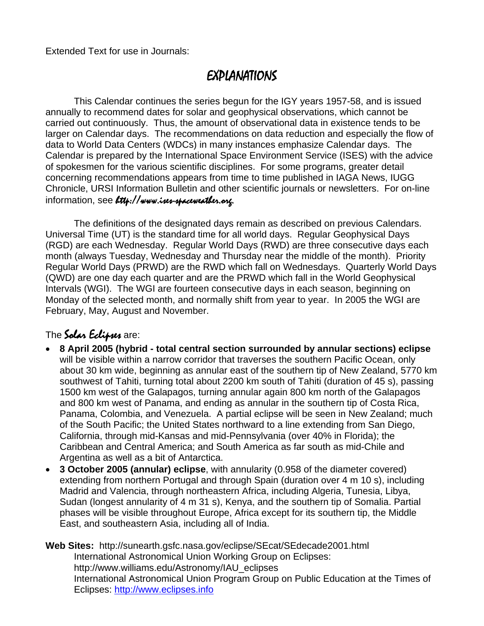Extended Text for use in Journals:

# EXPLANATIONS

This Calendar continues the series begun for the IGY years 1957-58, and is issued annually to recommend dates for solar and geophysical observations, which cannot be carried out continuously. Thus, the amount of observational data in existence tends to be larger on Calendar days. The recommendations on data reduction and especially the flow of data to World Data Centers (WDCs) in many instances emphasize Calendar days. The Calendar is prepared by the International Space Environment Service (ISES) with the advice of spokesmen for the various scientific disciplines. For some programs, greater detail concerning recommendations appears from time to time published in IAGA News, IUGG Chronicle, URSI Information Bulletin and other scientific journals or newsletters. For on-line information, see Ltth://www.ises-spaceweather.org.

The definitions of the designated days remain as described on previous Calendars. Universal Time (UT) is the standard time for all world days. Regular Geophysical Days (RGD) are each Wednesday. Regular World Days (RWD) are three consecutive days each month (always Tuesday, Wednesday and Thursday near the middle of the month). Priority Regular World Days (PRWD) are the RWD which fall on Wednesdays. Quarterly World Days (QWD) are one day each quarter and are the PRWD which fall in the World Geophysical Intervals (WGI). The WGI are fourteen consecutive days in each season, beginning on Monday of the selected month, and normally shift from year to year. In 2005 the WGI are February, May, August and November.

## The Solar Eclipses are:

- **8 April 2005 (hybrid total central section surrounded by annular sections) eclipse**  will be visible within a narrow corridor that traverses the southern Pacific Ocean, only about 30 km wide, beginning as annular east of the southern tip of New Zealand, 5770 km southwest of Tahiti, turning total about 2200 km south of Tahiti (duration of 45 s), passing 1500 km west of the Galapagos, turning annular again 800 km north of the Galapagos and 800 km west of Panama, and ending as annular in the southern tip of Costa Rica, Panama, Colombia, and Venezuela. A partial eclipse will be seen in New Zealand; much of the South Pacific; the United States northward to a line extending from San Diego, California, through mid-Kansas and mid-Pennsylvania (over 40% in Florida); the Caribbean and Central America; and South America as far south as mid-Chile and Argentina as well as a bit of Antarctica.
- **3 October 2005 (annular) eclipse**, with annularity (0.958 of the diameter covered) extending from northern Portugal and through Spain (duration over 4 m 10 s), including Madrid and Valencia, through northeastern Africa, including Algeria, Tunesia, Libya, Sudan (longest annularity of 4 m 31 s), Kenya, and the southern tip of Somalia. Partial phases will be visible throughout Europe, Africa except for its southern tip, the Middle East, and southeastern Asia, including all of India.

**Web Sites:** http://sunearth.gsfc.nasa.gov/eclipse/SEcat/SEdecade2001.html International Astronomical Union Working Group on Eclipses: http://www.williams.edu/Astronomy/IAU\_eclipses International Astronomical Union Program Group on Public Education at the Times of Eclipses: http://www.eclipses.info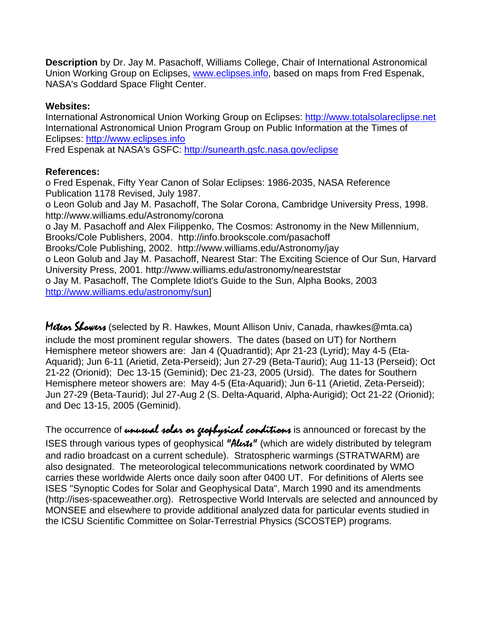**Description** by Dr. Jay M. Pasachoff, Williams College, Chair of International Astronomical Union Working Group on Eclipses, www.eclipses.info, based on maps from Fred Espenak, NASA's Goddard Space Flight Center.

#### **Websites:**

International Astronomical Union Working Group on Eclipses: http://www.totalsolareclipse.net International Astronomical Union Program Group on Public Information at the Times of Eclipses: http://www.eclipses.info

Fred Espenak at NASA's GSFC: http://sunearth.gsfc.nasa.gov/eclipse

#### **References:**

o Fred Espenak, Fifty Year Canon of Solar Eclipses: 1986-2035, NASA Reference Publication 1178 Revised, July 1987. o Leon Golub and Jay M. Pasachoff, The Solar Corona, Cambridge University Press, 1998. http://www.williams.edu/Astronomy/corona o Jay M. Pasachoff and Alex Filippenko, The Cosmos: Astronomy in the New Millennium, Brooks/Cole Publishers, 2004. http://info.brookscole.com/pasachoff Brooks/Cole Publishing, 2002. http://www.williams.edu/Astronomy/jay o Leon Golub and Jay M. Pasachoff, Nearest Star: The Exciting Science of Our Sun, Harvard University Press, 2001. http://www.williams.edu/astronomy/neareststar o Jay M. Pasachoff, The Complete Idiot's Guide to the Sun, Alpha Books, 2003 http://www.williams.edu/astronomy/sun]

Meteon Showers (selected by R. Hawkes, Mount Allison Univ, Canada, rhawkes@mta.ca) include the most prominent regular showers. The dates (based on UT) for Northern Hemisphere meteor showers are: Jan 4 (Quadrantid); Apr 21-23 (Lyrid); May 4-5 (Eta-Aquarid); Jun 6-11 (Arietid, Zeta-Perseid); Jun 27-29 (Beta-Taurid); Aug 11-13 (Perseid); Oct 21-22 (Orionid); Dec 13-15 (Geminid); Dec 21-23, 2005 (Ursid). The dates for Southern Hemisphere meteor showers are: May 4-5 (Eta-Aquarid); Jun 6-11 (Arietid, Zeta-Perseid); Jun 27-29 (Beta-Taurid); Jul 27-Aug 2 (S. Delta-Aquarid, Alpha-Aurigid); Oct 21-22 (Orionid); and Dec 13-15, 2005 (Geminid).

The occurrence of unusual solar or geophysical conditions is announced or forecast by the ISES through various types of geophysical " $A$ *lext"* (which are widely distributed by telegram and radio broadcast on a current schedule). Stratospheric warmings (STRATWARM) are also designated. The meteorological telecommunications network coordinated by WMO carries these worldwide Alerts once daily soon after 0400 UT. For definitions of Alerts see ISES "Synoptic Codes for Solar and Geophysical Data", March 1990 and its amendments (http://ises-spaceweather.org). Retrospective World Intervals are selected and announced by MONSEE and elsewhere to provide additional analyzed data for particular events studied in the ICSU Scientific Committee on Solar-Terrestrial Physics (SCOSTEP) programs.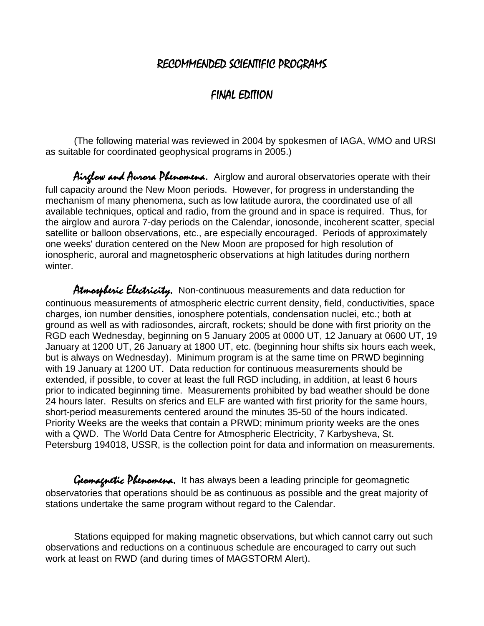## RECOMMENDED SCIENTIFIC PROGRAMS

## FINAL EDITION

(The following material was reviewed in 2004 by spokesmen of IAGA, WMO and URSI as suitable for coordinated geophysical programs in 2005.)

Airglow and Aurora Phenomena. Airglow and auroral observatories operate with their full capacity around the New Moon periods. However, for progress in understanding the mechanism of many phenomena, such as low latitude aurora, the coordinated use of all available techniques, optical and radio, from the ground and in space is required. Thus, for the airglow and aurora 7-day periods on the Calendar, ionosonde, incoherent scatter, special satellite or balloon observations, etc., are especially encouraged. Periods of approximately one weeks' duration centered on the New Moon are proposed for high resolution of ionospheric, auroral and magnetospheric observations at high latitudes during northern winter.

Atmospheric Electricity. Non-continuous measurements and data reduction for continuous measurements of atmospheric electric current density, field, conductivities, space charges, ion number densities, ionosphere potentials, condensation nuclei, etc.; both at ground as well as with radiosondes, aircraft, rockets; should be done with first priority on the RGD each Wednesday, beginning on 5 January 2005 at 0000 UT, 12 January at 0600 UT, 19 January at 1200 UT, 26 January at 1800 UT, etc. (beginning hour shifts six hours each week, but is always on Wednesday). Minimum program is at the same time on PRWD beginning with 19 January at 1200 UT. Data reduction for continuous measurements should be extended, if possible, to cover at least the full RGD including, in addition, at least 6 hours prior to indicated beginning time. Measurements prohibited by bad weather should be done 24 hours later. Results on sferics and ELF are wanted with first priority for the same hours, short-period measurements centered around the minutes 35-50 of the hours indicated. Priority Weeks are the weeks that contain a PRWD; minimum priority weeks are the ones with a QWD. The World Data Centre for Atmospheric Electricity, 7 Karbysheva, St. Petersburg 194018, USSR, is the collection point for data and information on measurements.

Gromagnetic Phenomena. It has always been a leading principle for geomagnetic observatories that operations should be as continuous as possible and the great majority of stations undertake the same program without regard to the Calendar.

Stations equipped for making magnetic observations, but which cannot carry out such observations and reductions on a continuous schedule are encouraged to carry out such work at least on RWD (and during times of MAGSTORM Alert).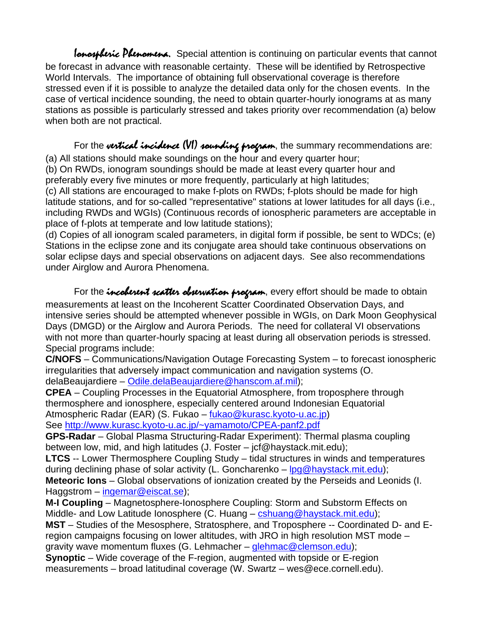Ionospheric Phenomena. Special attention is continuing on particular events that cannot be forecast in advance with reasonable certainty. These will be identified by Retrospective World Intervals. The importance of obtaining full observational coverage is therefore stressed even if it is possible to analyze the detailed data only for the chosen events. In the case of vertical incidence sounding, the need to obtain quarter-hourly ionograms at as many stations as possible is particularly stressed and takes priority over recommendation (a) below when both are not practical.

For the vertical incidence (VI) sounding program, the summary recommendations are: (a) All stations should make soundings on the hour and every quarter hour;

(b) On RWDs, ionogram soundings should be made at least every quarter hour and preferably every five minutes or more frequently, particularly at high latitudes;

(c) All stations are encouraged to make f-plots on RWDs; f-plots should be made for high latitude stations, and for so-called "representative" stations at lower latitudes for all days (i.e., including RWDs and WGIs) (Continuous records of ionospheric parameters are acceptable in place of f-plots at temperate and low latitude stations);

(d) Copies of all ionogram scaled parameters, in digital form if possible, be sent to WDCs; (e) Stations in the eclipse zone and its conjugate area should take continuous observations on solar eclipse days and special observations on adjacent days. See also recommendations under Airglow and Aurora Phenomena.

For the *incoletent scatter observation program*, every effort should be made to obtain measurements at least on the Incoherent Scatter Coordinated Observation Days, and intensive series should be attempted whenever possible in WGIs, on Dark Moon Geophysical Days (DMGD) or the Airglow and Aurora Periods. The need for collateral VI observations with not more than quarter-hourly spacing at least during all observation periods is stressed. Special programs include:

**C/NOFS** – Communications/Navigation Outage Forecasting System – to forecast ionospheric irregularities that adversely impact communication and navigation systems (O. delaBeaujardiere – Odile.delaBeaujardiere@hanscom.af.mil);

**CPEA** – Coupling Processes in the Equatorial Atmosphere, from troposphere through thermosphere and ionosphere, especially centered around Indonesian Equatorial Atmospheric Radar (EAR) (S. Fukao – fukao@kurasc.kyoto-u.ac.jp)

See http://www.kurasc.kyoto-u.ac.jp/~yamamoto/CPEA-panf2.pdf

**GPS-Radar** – Global Plasma Structuring-Radar Experiment): Thermal plasma coupling between low, mid, and high latitudes (J. Foster – jcf@haystack.mit.edu);

**LTCS** -- Lower Thermosphere Coupling Study – tidal structures in winds and temperatures during declining phase of solar activity (L. Goncharenko – log@haystack.mit.edu); **Meteoric Ions** – Global observations of ionization created by the Perseids and Leonids (I.

Haggstrom – ingemar@eiscat.se);

**M-I Coupling** – Magnetosphere-Ionosphere Coupling: Storm and Substorm Effects on Middle- and Low Latitude Ionosphere (C. Huang – cshuang@haystack.mit.edu);

**MST** – Studies of the Mesosphere, Stratosphere, and Troposphere -- Coordinated D- and Eregion campaigns focusing on lower altitudes, with JRO in high resolution MST mode – gravity wave momentum fluxes (G. Lehmacher – glehmac@clemson.edu);

**Synoptic** – Wide coverage of the F-region, augmented with topside or E-region measurements – broad latitudinal coverage (W. Swartz – wes@ece.cornell.edu).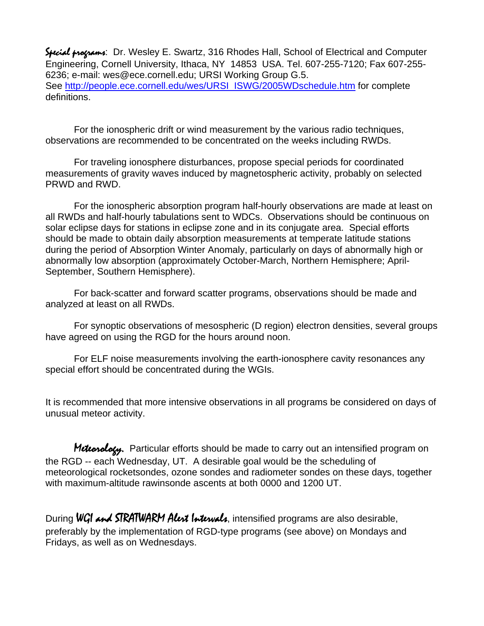Special programs: Dr. Wesley E. Swartz, 316 Rhodes Hall, School of Electrical and Computer Engineering, Cornell University, Ithaca, NY 14853 USA. Tel. 607-255-7120; Fax 607-255- 6236; e-mail: wes@ece.cornell.edu; URSI Working Group G.5. See http://people.ece.cornell.edu/wes/URSI\_ISWG/2005WDschedule.htm for complete definitions.

For the ionospheric drift or wind measurement by the various radio techniques, observations are recommended to be concentrated on the weeks including RWDs.

For traveling ionosphere disturbances, propose special periods for coordinated measurements of gravity waves induced by magnetospheric activity, probably on selected PRWD and RWD.

For the ionospheric absorption program half-hourly observations are made at least on all RWDs and half-hourly tabulations sent to WDCs. Observations should be continuous on solar eclipse days for stations in eclipse zone and in its conjugate area. Special efforts should be made to obtain daily absorption measurements at temperate latitude stations during the period of Absorption Winter Anomaly, particularly on days of abnormally high or abnormally low absorption (approximately October-March, Northern Hemisphere; April-September, Southern Hemisphere).

For back-scatter and forward scatter programs, observations should be made and analyzed at least on all RWDs.

For synoptic observations of mesospheric (D region) electron densities, several groups have agreed on using the RGD for the hours around noon.

For ELF noise measurements involving the earth-ionosphere cavity resonances any special effort should be concentrated during the WGIs.

It is recommended that more intensive observations in all programs be considered on days of unusual meteor activity.

Meteorology. Particular efforts should be made to carry out an intensified program on the RGD -- each Wednesday, UT. A desirable goal would be the scheduling of meteorological rocketsondes, ozone sondes and radiometer sondes on these days, together with maximum-altitude rawinsonde ascents at both 0000 and 1200 UT.

During WGI and STRATWARM Alext Intervals, intensified programs are also desirable, preferably by the implementation of RGD-type programs (see above) on Mondays and Fridays, as well as on Wednesdays.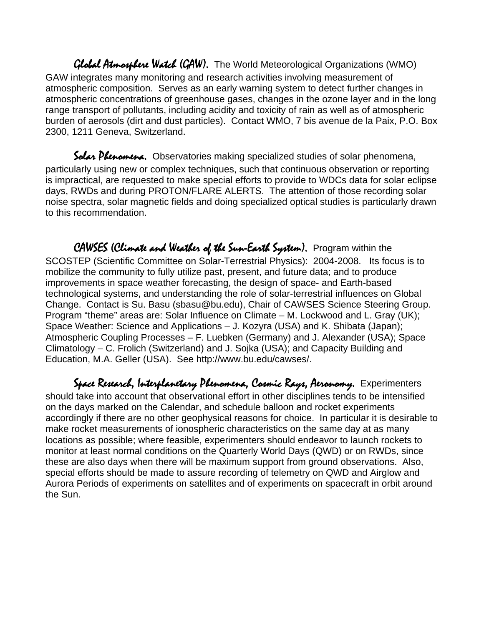Global Atmosphere Watch (GAW). The World Meteorological Organizations (WMO) GAW integrates many monitoring and research activities involving measurement of atmospheric composition. Serves as an early warning system to detect further changes in atmospheric concentrations of greenhouse gases, changes in the ozone layer and in the long range transport of pollutants, including acidity and toxicity of rain as well as of atmospheric burden of aerosols (dirt and dust particles). Contact WMO, 7 bis avenue de la Paix, P.O. Box 2300, 1211 Geneva, Switzerland.

Solar Phenomena. Observatories making specialized studies of solar phenomena, particularly using new or complex techniques, such that continuous observation or reporting is impractical, are requested to make special efforts to provide to WDCs data for solar eclipse days, RWDs and during PROTON/FLARE ALERTS. The attention of those recording solar noise spectra, solar magnetic fields and doing specialized optical studies is particularly drawn to this recommendation.

CAWSES (Climate and Weather of the Sun-Earth System). Program within the SCOSTEP (Scientific Committee on Solar-Terrestrial Physics): 2004-2008. Its focus is to mobilize the community to fully utilize past, present, and future data; and to produce improvements in space weather forecasting, the design of space- and Earth-based technological systems, and understanding the role of solar-terrestrial influences on Global Change. Contact is Su. Basu (sbasu@bu.edu), Chair of CAWSES Science Steering Group. Program "theme" areas are: Solar Influence on Climate – M. Lockwood and L. Gray (UK); Space Weather: Science and Applications – J. Kozyra (USA) and K. Shibata (Japan); Atmospheric Coupling Processes – F. Luebken (Germany) and J. Alexander (USA); Space Climatology – C. Frolich (Switzerland) and J. Sojka (USA); and Capacity Building and Education, M.A. Geller (USA). See http://www.bu.edu/cawses/.

Space Research, Interplanetary Phenomena, Cosmic Rays, Aeronomy. Experimenters should take into account that observational effort in other disciplines tends to be intensified on the days marked on the Calendar, and schedule balloon and rocket experiments accordingly if there are no other geophysical reasons for choice. In particular it is desirable to make rocket measurements of ionospheric characteristics on the same day at as many locations as possible; where feasible, experimenters should endeavor to launch rockets to monitor at least normal conditions on the Quarterly World Days (QWD) or on RWDs, since these are also days when there will be maximum support from ground observations. Also, special efforts should be made to assure recording of telemetry on QWD and Airglow and Aurora Periods of experiments on satellites and of experiments on spacecraft in orbit around the Sun.